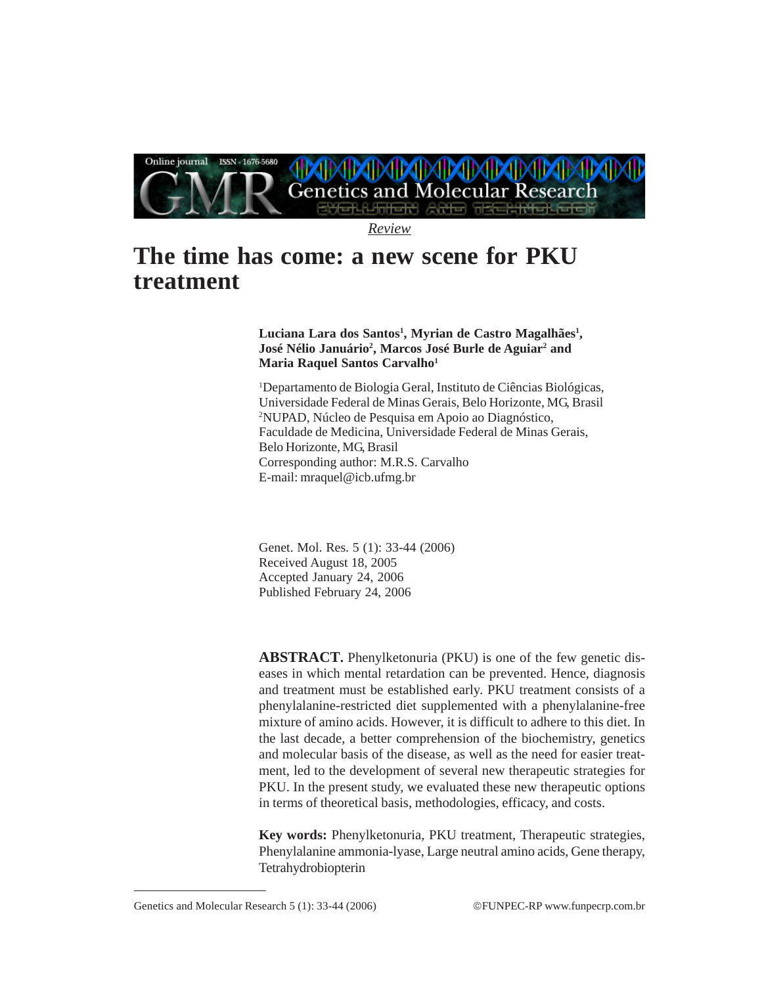

*Review*

# **The time has come: a new scene for PKU treatment**

# **Luciana Lara dos Santos1 , Myrian de Castro Magalhães1 , José Nélio Januário2 , Marcos José Burle de Aguiar2 and Maria Raquel Santos Carvalho1**

1 Departamento de Biologia Geral, Instituto de Ciências Biológicas, Universidade Federal de Minas Gerais, Belo Horizonte, MG, Brasil 2 NUPAD, Núcleo de Pesquisa em Apoio ao Diagnóstico, Faculdade de Medicina, Universidade Federal de Minas Gerais, Belo Horizonte, MG, Brasil Corresponding author: M.R.S. Carvalho E-mail: mraquel@icb.ufmg.br

Genet. Mol. Res. 5 (1): 33-44 (2006) Received August 18, 2005 Accepted January 24, 2006 Published February 24, 2006

**ABSTRACT.** Phenylketonuria (PKU) is one of the few genetic diseases in which mental retardation can be prevented. Hence, diagnosis and treatment must be established early. PKU treatment consists of a phenylalanine-restricted diet supplemented with a phenylalanine-free mixture of amino acids. However, it is difficult to adhere to this diet. In the last decade, a better comprehension of the biochemistry, genetics and molecular basis of the disease, as well as the need for easier treatment, led to the development of several new therapeutic strategies for PKU. In the present study, we evaluated these new therapeutic options in terms of theoretical basis, methodologies, efficacy, and costs.

**Key words:** Phenylketonuria, PKU treatment, Therapeutic strategies, Phenylalanine ammonia-lyase, Large neutral amino acids, Gene therapy, Tetrahydrobiopterin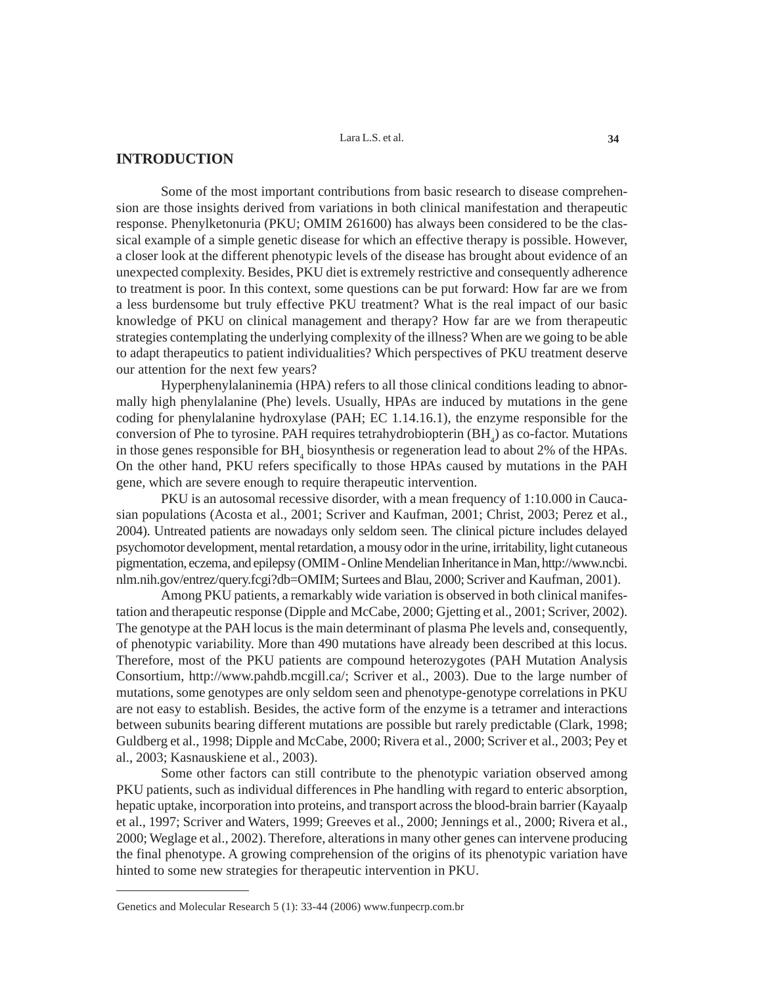# **INTRODUCTION**

Some of the most important contributions from basic research to disease comprehension are those insights derived from variations in both clinical manifestation and therapeutic response. Phenylketonuria (PKU; OMIM 261600) has always been considered to be the classical example of a simple genetic disease for which an effective therapy is possible. However, a closer look at the different phenotypic levels of the disease has brought about evidence of an unexpected complexity. Besides, PKU diet is extremely restrictive and consequently adherence to treatment is poor. In this context, some questions can be put forward: How far are we from a less burdensome but truly effective PKU treatment? What is the real impact of our basic knowledge of PKU on clinical management and therapy? How far are we from therapeutic strategies contemplating the underlying complexity of the illness? When are we going to be able to adapt therapeutics to patient individualities? Which perspectives of PKU treatment deserve our attention for the next few years?

Hyperphenylalaninemia (HPA) refers to all those clinical conditions leading to abnormally high phenylalanine (Phe) levels. Usually, HPAs are induced by mutations in the gene coding for phenylalanine hydroxylase (PAH; EC 1.14.16.1), the enzyme responsible for the conversion of Phe to tyrosine. PAH requires tetrahydrobiopterin  $(BH<sub>4</sub>)$  as co-factor. Mutations in those genes responsible for  $BH_4$  biosynthesis or regeneration lead to about 2% of the HPAs. On the other hand, PKU refers specifically to those HPAs caused by mutations in the PAH gene, which are severe enough to require therapeutic intervention.

PKU is an autosomal recessive disorder, with a mean frequency of 1:10.000 in Caucasian populations (Acosta et al., 2001; Scriver and Kaufman, 2001; Christ, 2003; Perez et al., 2004). Untreated patients are nowadays only seldom seen. The clinical picture includes delayed psychomotor development, mental retardation, a mousy odor in the urine, irritability, light cutaneous pigmentation, eczema, and epilepsy (OMIM - Online Mendelian Inheritance in Man, http://www.ncbi. nlm.nih.gov/entrez/query.fcgi?db=OMIM; Surtees and Blau, 2000; Scriver and Kaufman, 2001).

Among PKU patients, a remarkably wide variation is observed in both clinical manifestation and therapeutic response (Dipple and McCabe, 2000; Gjetting et al., 2001; Scriver, 2002). The genotype at the PAH locus is the main determinant of plasma Phe levels and, consequently, of phenotypic variability. More than 490 mutations have already been described at this locus. Therefore, most of the PKU patients are compound heterozygotes (PAH Mutation Analysis Consortium, http://www.pahdb.mcgill.ca/; Scriver et al., 2003). Due to the large number of mutations, some genotypes are only seldom seen and phenotype-genotype correlations in PKU are not easy to establish. Besides, the active form of the enzyme is a tetramer and interactions between subunits bearing different mutations are possible but rarely predictable (Clark, 1998; Guldberg et al., 1998; Dipple and McCabe, 2000; Rivera et al., 2000; Scriver et al., 2003; Pey et al., 2003; Kasnauskiene et al., 2003).

Some other factors can still contribute to the phenotypic variation observed among PKU patients, such as individual differences in Phe handling with regard to enteric absorption, hepatic uptake, incorporation into proteins, and transport across the blood-brain barrier (Kayaalp et al., 1997; Scriver and Waters, 1999; Greeves et al., 2000; Jennings et al., 2000; Rivera et al., 2000; Weglage et al., 2002). Therefore, alterations in many other genes can intervene producing the final phenotype. A growing comprehension of the origins of its phenotypic variation have hinted to some new strategies for therapeutic intervention in PKU.

Genetics and Molecular Research 5 (1): 33-44 (2006) www.funpecrp.com.br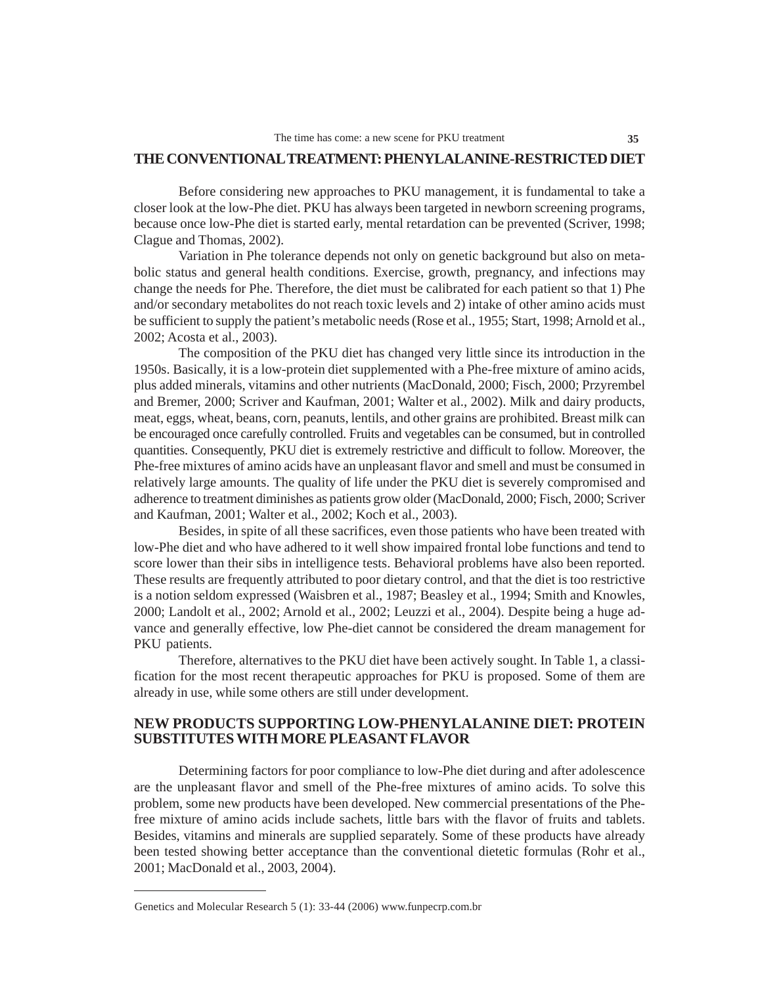## **THE CONVENTIONAL TREATMENT: PHENYLALANINE-RESTRICTED DIET**

Before considering new approaches to PKU management, it is fundamental to take a closer look at the low-Phe diet. PKU has always been targeted in newborn screening programs, because once low-Phe diet is started early, mental retardation can be prevented (Scriver, 1998; Clague and Thomas, 2002).

Variation in Phe tolerance depends not only on genetic background but also on metabolic status and general health conditions. Exercise, growth, pregnancy, and infections may change the needs for Phe. Therefore, the diet must be calibrated for each patient so that 1) Phe and/or secondary metabolites do not reach toxic levels and 2) intake of other amino acids must be sufficient to supply the patient's metabolic needs (Rose et al., 1955; Start, 1998; Arnold et al., 2002; Acosta et al., 2003).

The composition of the PKU diet has changed very little since its introduction in the 1950s. Basically, it is a low-protein diet supplemented with a Phe-free mixture of amino acids, plus added minerals, vitamins and other nutrients (MacDonald, 2000; Fisch, 2000; Przyrembel and Bremer, 2000; Scriver and Kaufman, 2001; Walter et al., 2002). Milk and dairy products, meat, eggs, wheat, beans, corn, peanuts, lentils, and other grains are prohibited. Breast milk can be encouraged once carefully controlled. Fruits and vegetables can be consumed, but in controlled quantities. Consequently, PKU diet is extremely restrictive and difficult to follow. Moreover, the Phe-free mixtures of amino acids have an unpleasant flavor and smell and must be consumed in relatively large amounts. The quality of life under the PKU diet is severely compromised and adherence to treatment diminishes as patients grow older (MacDonald, 2000; Fisch, 2000; Scriver and Kaufman, 2001; Walter et al., 2002; Koch et al., 2003).

Besides, in spite of all these sacrifices, even those patients who have been treated with low-Phe diet and who have adhered to it well show impaired frontal lobe functions and tend to score lower than their sibs in intelligence tests. Behavioral problems have also been reported. These results are frequently attributed to poor dietary control, and that the diet is too restrictive is a notion seldom expressed (Waisbren et al., 1987; Beasley et al., 1994; Smith and Knowles, 2000; Landolt et al., 2002; Arnold et al., 2002; Leuzzi et al., 2004). Despite being a huge advance and generally effective, low Phe-diet cannot be considered the dream management for PKU patients.

Therefore, alternatives to the PKU diet have been actively sought. In Table 1, a classification for the most recent therapeutic approaches for PKU is proposed. Some of them are already in use, while some others are still under development.

# **NEW PRODUCTS SUPPORTING LOW-PHENYLALANINE DIET: PROTEIN SUBSTITUTES WITH MORE PLEASANT FLAVOR**

Determining factors for poor compliance to low-Phe diet during and after adolescence are the unpleasant flavor and smell of the Phe-free mixtures of amino acids. To solve this problem, some new products have been developed. New commercial presentations of the Phefree mixture of amino acids include sachets, little bars with the flavor of fruits and tablets. Besides, vitamins and minerals are supplied separately. Some of these products have already been tested showing better acceptance than the conventional dietetic formulas (Rohr et al., 2001; MacDonald et al., 2003, 2004).

Genetics and Molecular Research 5 (1): 33-44 (2006) www.funpecrp.com.br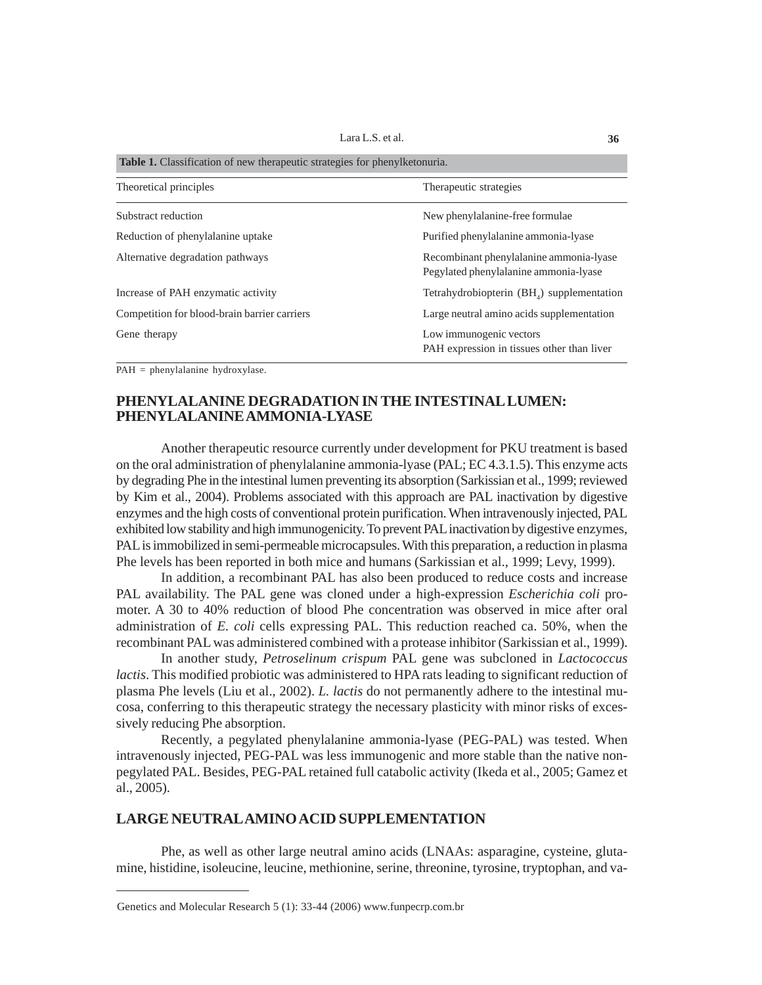| <b>Table 1.</b> Classification of new therapeutic strategies for phenylketonuria. |                                                                                  |
|-----------------------------------------------------------------------------------|----------------------------------------------------------------------------------|
| Theoretical principles                                                            | Therapeutic strategies                                                           |
| Substract reduction                                                               | New phenylalanine-free formulae.                                                 |
| Reduction of phenylalanine uptake                                                 | Purified phenylalanine ammonia-lyase                                             |
| Alternative degradation pathways                                                  | Recombinant phenylalanine ammonia-lyase<br>Pegylated phenylalanine ammonia-lyase |
| Increase of PAH enzymatic activity                                                | Tetrahydrobiopterin (BH <sub>4</sub> ) supplementation                           |
| Competition for blood-brain barrier carriers                                      | Large neutral amino acids supplementation                                        |
| Gene therapy                                                                      | Low immunogenic vectors<br>PAH expression in tissues other than liver            |

PAH = phenylalanine hydroxylase.

# **PHENYLALANINE DEGRADATION IN THE INTESTINAL LUMEN: PHENYLALANINE AMMONIA-LYASE**

Another therapeutic resource currently under development for PKU treatment is based on the oral administration of phenylalanine ammonia-lyase (PAL; EC 4.3.1.5). This enzyme acts by degrading Phe in the intestinal lumen preventing its absorption (Sarkissian et al., 1999; reviewed by Kim et al., 2004). Problems associated with this approach are PAL inactivation by digestive enzymes and the high costs of conventional protein purification. When intravenously injected, PAL exhibited low stability and high immunogenicity. To prevent PAL inactivation by digestive enzymes, PAL is immobilized in semi-permeable microcapsules. With this preparation, a reduction in plasma Phe levels has been reported in both mice and humans (Sarkissian et al., 1999; Levy, 1999).

In addition, a recombinant PAL has also been produced to reduce costs and increase PAL availability. The PAL gene was cloned under a high-expression *Escherichia coli* promoter. A 30 to 40% reduction of blood Phe concentration was observed in mice after oral administration of *E. coli* cells expressing PAL. This reduction reached ca. 50%, when the recombinant PAL was administered combined with a protease inhibitor (Sarkissian et al., 1999).

In another study, *Petroselinum crispum* PAL gene was subcloned in *Lactococcus lactis*. This modified probiotic was administered to HPA rats leading to significant reduction of plasma Phe levels (Liu et al., 2002). *L. lactis* do not permanently adhere to the intestinal mucosa, conferring to this therapeutic strategy the necessary plasticity with minor risks of excessively reducing Phe absorption.

Recently, a pegylated phenylalanine ammonia-lyase (PEG-PAL) was tested. When intravenously injected, PEG-PAL was less immunogenic and more stable than the native nonpegylated PAL. Besides, PEG-PAL retained full catabolic activity (Ikeda et al., 2005; Gamez et al., 2005).

# **LARGE NEUTRAL AMINO ACID SUPPLEMENTATION**

Phe, as well as other large neutral amino acids (LNAAs: asparagine, cysteine, glutamine, histidine, isoleucine, leucine, methionine, serine, threonine, tyrosine, tryptophan, and va-

Genetics and Molecular Research 5 (1): 33-44 (2006) www.funpecrp.com.br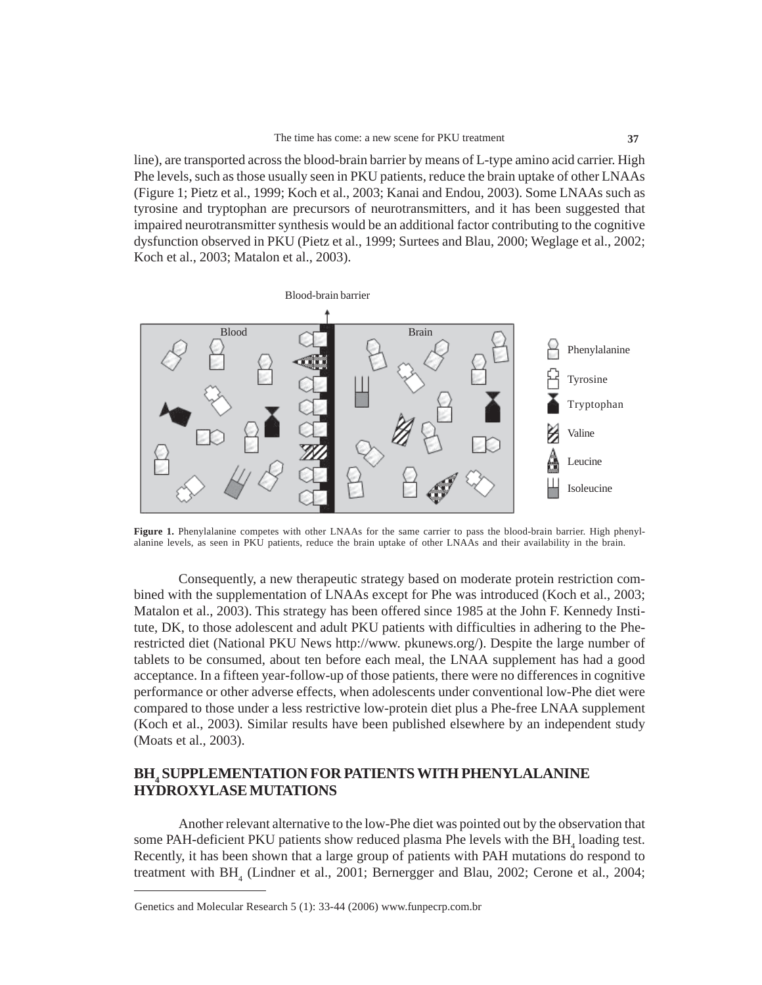line), are transported across the blood-brain barrier by means of L-type amino acid carrier. High Phe levels, such as those usually seen in PKU patients, reduce the brain uptake of other LNAAs (Figure 1; Pietz et al., 1999; Koch et al., 2003; Kanai and Endou, 2003). Some LNAAs such as tyrosine and tryptophan are precursors of neurotransmitters, and it has been suggested that impaired neurotransmitter synthesis would be an additional factor contributing to the cognitive dysfunction observed in PKU (Pietz et al., 1999; Surtees and Blau, 2000; Weglage et al., 2002; Koch et al., 2003; Matalon et al., 2003).



**Figure 1.** Phenylalanine competes with other LNAAs for the same carrier to pass the blood-brain barrier. High phenylalanine levels, as seen in PKU patients, reduce the brain uptake of other LNAAs and their availability in the brain.

Consequently, a new therapeutic strategy based on moderate protein restriction combined with the supplementation of LNAAs except for Phe was introduced (Koch et al., 2003; Matalon et al., 2003). This strategy has been offered since 1985 at the John F. Kennedy Institute, DK, to those adolescent and adult PKU patients with difficulties in adhering to the Pherestricted diet (National PKU News http://www. pkunews.org/). Despite the large number of tablets to be consumed, about ten before each meal, the LNAA supplement has had a good acceptance. In a fifteen year-follow-up of those patients, there were no differences in cognitive performance or other adverse effects, when adolescents under conventional low-Phe diet were compared to those under a less restrictive low-protein diet plus a Phe-free LNAA supplement (Koch et al., 2003). Similar results have been published elsewhere by an independent study (Moats et al., 2003).

# **BH4 SUPPLEMENTATION FOR PATIENTS WITH PHENYLALANINE HYDROXYLASE MUTATIONS**

Another relevant alternative to the low-Phe diet was pointed out by the observation that some PAH-deficient PKU patients show reduced plasma Phe levels with the  $BH$ <sub>4</sub> loading test. Recently, it has been shown that a large group of patients with PAH mutations do respond to treatment with BH<sub>4</sub> (Lindner et al., 2001; Bernergger and Blau, 2002; Cerone et al., 2004;

Genetics and Molecular Research 5 (1): 33-44 (2006) www.funpecrp.com.br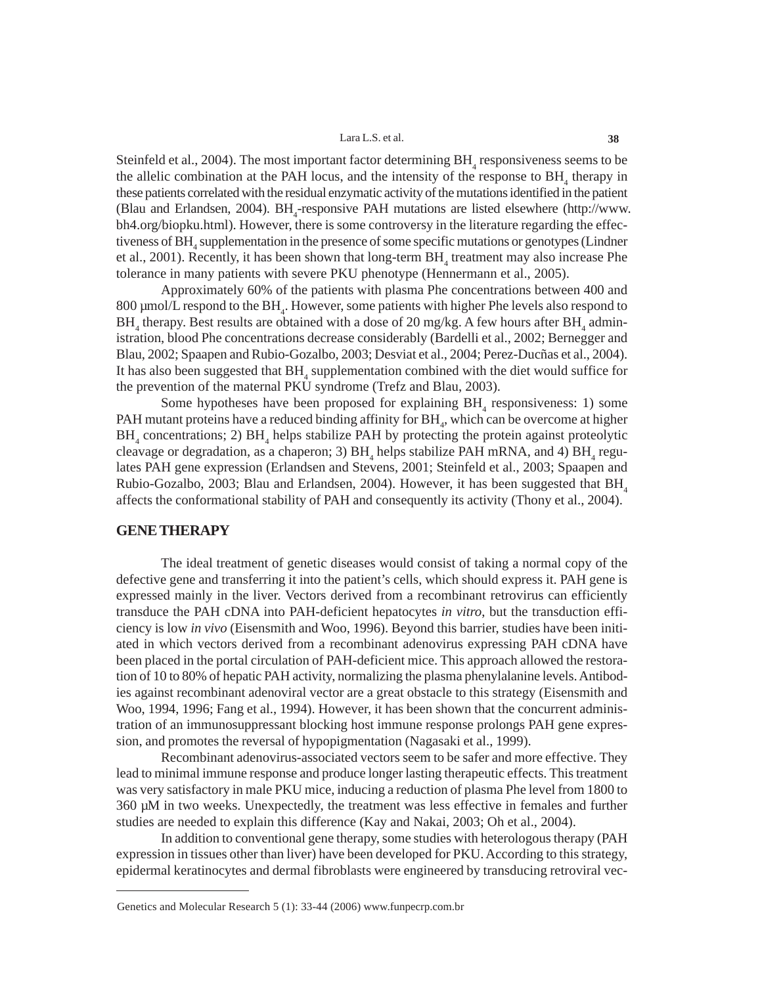Steinfeld et al., 2004). The most important factor determining  $BH$ <sub>4</sub> responsiveness seems to be the allelic combination at the PAH locus, and the intensity of the response to  $BH<sub>4</sub>$  therapy in these patients correlated with the residual enzymatic activity of the mutations identified in the patient (Blau and Erlandsen, 2004).  $BH_4$ -responsive PAH mutations are listed elsewhere (http://www. bh4.org/biopku.html). However, there is some controversy in the literature regarding the effectiveness of  $\text{BH}_4$  supplementation in the presence of some specific mutations or genotypes (Lindner et al., 2001). Recently, it has been shown that long-term  $\text{BH}_4$  treatment may also increase Phe tolerance in many patients with severe PKU phenotype (Hennermann et al., 2005).

Approximately 60% of the patients with plasma Phe concentrations between 400 and 800  $\mu$ mol/L respond to the BH<sub>4</sub>. However, some patients with higher Phe levels also respond to  $\rm BH_{_4}$  therapy. Best results are obtained with a dose of 20 mg/kg. A few hours after  $\rm BH_{_4}$  administration, blood Phe concentrations decrease considerably (Bardelli et al., 2002; Bernegger and Blau, 2002; Spaapen and Rubio-Gozalbo, 2003; Desviat et al., 2004; Perez-Ducñas et al., 2004). It has also been suggested that  $BH$ <sub>4</sub> supplementation combined with the diet would suffice for the prevention of the maternal PKU syndrome (Trefz and Blau, 2003).

Some hypotheses have been proposed for explaining  $BH<sub>4</sub>$  responsiveness: 1) some PAH mutant proteins have a reduced binding affinity for  $\text{BH}_4^2$ , which can be overcome at higher  $BH<sub>4</sub>$  concentrations; 2)  $BH<sub>4</sub>$  helps stabilize PAH by protecting the protein against proteolytic cleavage or degradation, as a chaperon; 3)  $BH_4$  helps stabilize PAH mRNA, and 4)  $BH_4$  regulates PAH gene expression (Erlandsen and Stevens, 2001; Steinfeld et al., 2003; Spaapen and Rubio-Gozalbo, 2003; Blau and Erlandsen, 2004). However, it has been suggested that  $BH<sub>4</sub>$ affects the conformational stability of PAH and consequently its activity (Thony et al., 2004).

### **GENE THERAPY**

The ideal treatment of genetic diseases would consist of taking a normal copy of the defective gene and transferring it into the patient's cells, which should express it. PAH gene is expressed mainly in the liver. Vectors derived from a recombinant retrovirus can efficiently transduce the PAH cDNA into PAH-deficient hepatocytes *in vitro*, but the transduction efficiency is low *in vivo* (Eisensmith and Woo, 1996). Beyond this barrier, studies have been initiated in which vectors derived from a recombinant adenovirus expressing PAH cDNA have been placed in the portal circulation of PAH-deficient mice. This approach allowed the restoration of 10 to 80% of hepatic PAH activity, normalizing the plasma phenylalanine levels. Antibodies against recombinant adenoviral vector are a great obstacle to this strategy (Eisensmith and Woo, 1994, 1996; Fang et al., 1994). However, it has been shown that the concurrent administration of an immunosuppressant blocking host immune response prolongs PAH gene expression, and promotes the reversal of hypopigmentation (Nagasaki et al., 1999).

Recombinant adenovirus-associated vectors seem to be safer and more effective. They lead to minimal immune response and produce longer lasting therapeutic effects. This treatment was very satisfactory in male PKU mice, inducing a reduction of plasma Phe level from 1800 to 360 µM in two weeks. Unexpectedly, the treatment was less effective in females and further studies are needed to explain this difference (Kay and Nakai, 2003; Oh et al., 2004).

In addition to conventional gene therapy, some studies with heterologous therapy (PAH expression in tissues other than liver) have been developed for PKU. According to this strategy, epidermal keratinocytes and dermal fibroblasts were engineered by transducing retroviral vec-

Genetics and Molecular Research 5 (1): 33-44 (2006) www.funpecrp.com.br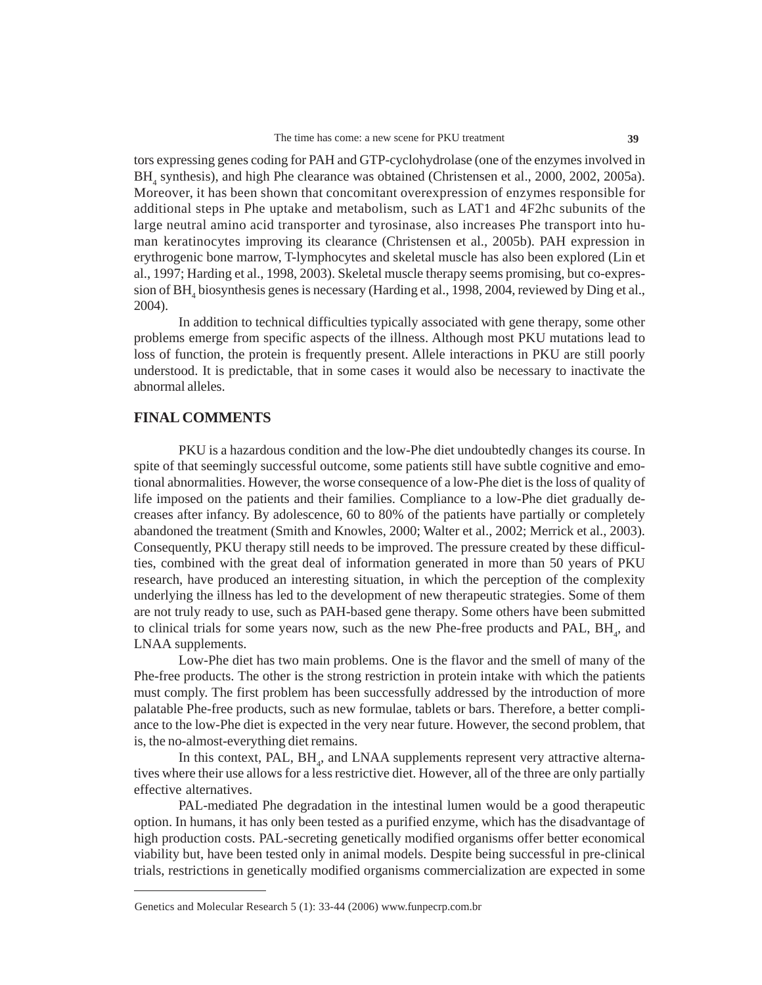tors expressing genes coding for PAH and GTP-cyclohydrolase (one of the enzymes involved in BH<sub>4</sub> synthesis), and high Phe clearance was obtained (Christensen et al., 2000, 2002, 2005a). Moreover, it has been shown that concomitant overexpression of enzymes responsible for additional steps in Phe uptake and metabolism, such as LAT1 and 4F2hc subunits of the large neutral amino acid transporter and tyrosinase, also increases Phe transport into human keratinocytes improving its clearance (Christensen et al., 2005b). PAH expression in erythrogenic bone marrow, T-lymphocytes and skeletal muscle has also been explored (Lin et al., 1997; Harding et al., 1998, 2003). Skeletal muscle therapy seems promising, but co-expression of  $\text{BH}_4$  biosynthesis genes is necessary (Harding et al., 1998, 2004, reviewed by Ding et al., 2004).

In addition to technical difficulties typically associated with gene therapy, some other problems emerge from specific aspects of the illness. Although most PKU mutations lead to loss of function, the protein is frequently present. Allele interactions in PKU are still poorly understood. It is predictable, that in some cases it would also be necessary to inactivate the abnormal alleles.

## **FINAL COMMENTS**

PKU is a hazardous condition and the low-Phe diet undoubtedly changes its course. In spite of that seemingly successful outcome, some patients still have subtle cognitive and emotional abnormalities. However, the worse consequence of a low-Phe diet is the loss of quality of life imposed on the patients and their families. Compliance to a low-Phe diet gradually decreases after infancy. By adolescence, 60 to 80% of the patients have partially or completely abandoned the treatment (Smith and Knowles, 2000; Walter et al., 2002; Merrick et al., 2003). Consequently, PKU therapy still needs to be improved. The pressure created by these difficulties, combined with the great deal of information generated in more than 50 years of PKU research, have produced an interesting situation, in which the perception of the complexity underlying the illness has led to the development of new therapeutic strategies. Some of them are not truly ready to use, such as PAH-based gene therapy. Some others have been submitted to clinical trials for some years now, such as the new Phe-free products and PAL,  $BH_{4}$ , and LNAA supplements.

Low-Phe diet has two main problems. One is the flavor and the smell of many of the Phe-free products. The other is the strong restriction in protein intake with which the patients must comply. The first problem has been successfully addressed by the introduction of more palatable Phe-free products, such as new formulae, tablets or bars. Therefore, a better compliance to the low-Phe diet is expected in the very near future. However, the second problem, that is, the no-almost-everything diet remains.

In this context,  $PAL$ ,  $BH<sub>4</sub>$ , and  $LNAA$  supplements represent very attractive alternatives where their use allows for a less restrictive diet. However, all of the three are only partially effective alternatives.

PAL-mediated Phe degradation in the intestinal lumen would be a good therapeutic option. In humans, it has only been tested as a purified enzyme, which has the disadvantage of high production costs. PAL-secreting genetically modified organisms offer better economical viability but, have been tested only in animal models. Despite being successful in pre-clinical trials, restrictions in genetically modified organisms commercialization are expected in some

Genetics and Molecular Research 5 (1): 33-44 (2006) www.funpecrp.com.br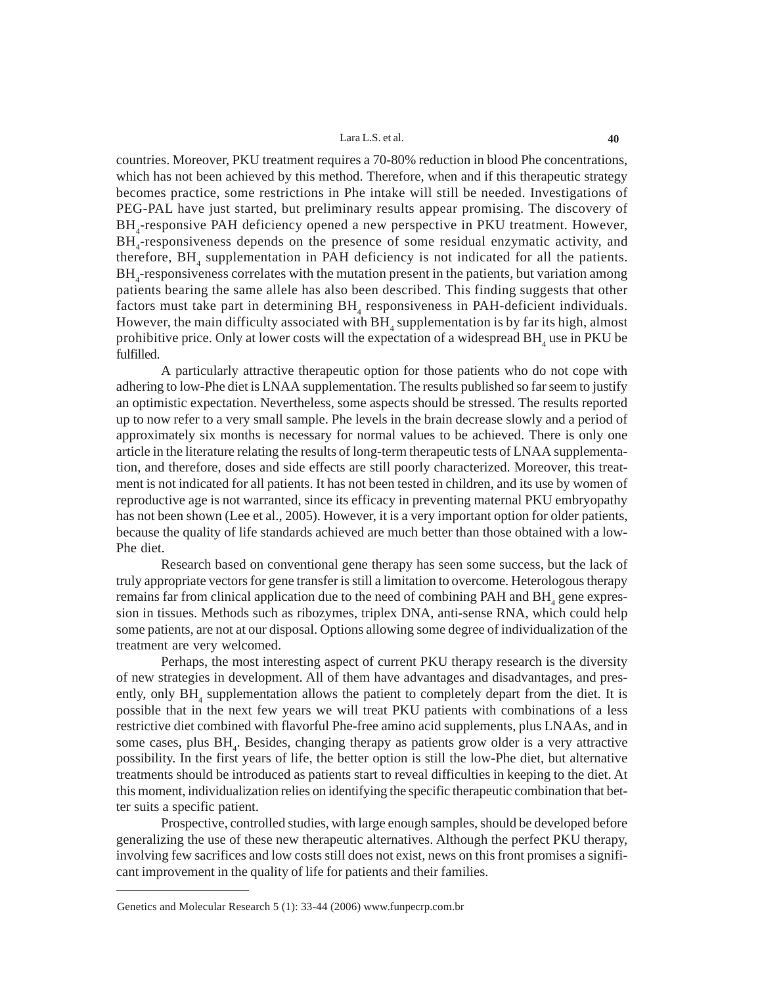countries. Moreover, PKU treatment requires a 70-80% reduction in blood Phe concentrations, which has not been achieved by this method. Therefore, when and if this therapeutic strategy becomes practice, some restrictions in Phe intake will still be needed. Investigations of PEG-PAL have just started, but preliminary results appear promising. The discovery of BH<sub>4</sub>-responsive PAH deficiency opened a new perspective in PKU treatment. However, BH<sub>4</sub>-responsiveness depends on the presence of some residual enzymatic activity, and therefore,  $BH$ <sub>4</sub> supplementation in PAH deficiency is not indicated for all the patients. BH<sub>4</sub>-responsiveness correlates with the mutation present in the patients, but variation among patients bearing the same allele has also been described. This finding suggests that other factors must take part in determining  $BH$ <sub>4</sub> responsiveness in PAH-deficient individuals. However, the main difficulty associated with  $\operatorname{BH}_4$  supplementation is by far its high, almost prohibitive price. Only at lower costs will the expectation of a widespread  $\text{BH}_4$  use in PKU be fulfilled.

A particularly attractive therapeutic option for those patients who do not cope with adhering to low-Phe diet is LNAA supplementation. The results published so far seem to justify an optimistic expectation. Nevertheless, some aspects should be stressed. The results reported up to now refer to a very small sample. Phe levels in the brain decrease slowly and a period of approximately six months is necessary for normal values to be achieved. There is only one article in the literature relating the results of long-term therapeutic tests of LNAA supplementation, and therefore, doses and side effects are still poorly characterized. Moreover, this treatment is not indicated for all patients. It has not been tested in children, and its use by women of reproductive age is not warranted, since its efficacy in preventing maternal PKU embryopathy has not been shown (Lee et al., 2005). However, it is a very important option for older patients, because the quality of life standards achieved are much better than those obtained with a low-Phe diet.

Research based on conventional gene therapy has seen some success, but the lack of truly appropriate vectors for gene transfer is still a limitation to overcome. Heterologous therapy remains far from clinical application due to the need of combining PAH and  $BH$ <sub>4</sub> gene expression in tissues. Methods such as ribozymes, triplex DNA, anti-sense RNA, which could help some patients, are not at our disposal. Options allowing some degree of individualization of the treatment are very welcomed.

Perhaps, the most interesting aspect of current PKU therapy research is the diversity of new strategies in development. All of them have advantages and disadvantages, and presently, only BH<sub>4</sub> supplementation allows the patient to completely depart from the diet. It is possible that in the next few years we will treat PKU patients with combinations of a less restrictive diet combined with flavorful Phe-free amino acid supplements, plus LNAAs, and in some cases, plus BH<sub>4</sub>. Besides, changing therapy as patients grow older is a very attractive possibility. In the first years of life, the better option is still the low-Phe diet, but alternative treatments should be introduced as patients start to reveal difficulties in keeping to the diet. At this moment, individualization relies on identifying the specific therapeutic combination that better suits a specific patient.

Prospective, controlled studies, with large enough samples, should be developed before generalizing the use of these new therapeutic alternatives. Although the perfect PKU therapy, involving few sacrifices and low costs still does not exist, news on this front promises a significant improvement in the quality of life for patients and their families.

Genetics and Molecular Research 5 (1): 33-44 (2006) www.funpecrp.com.br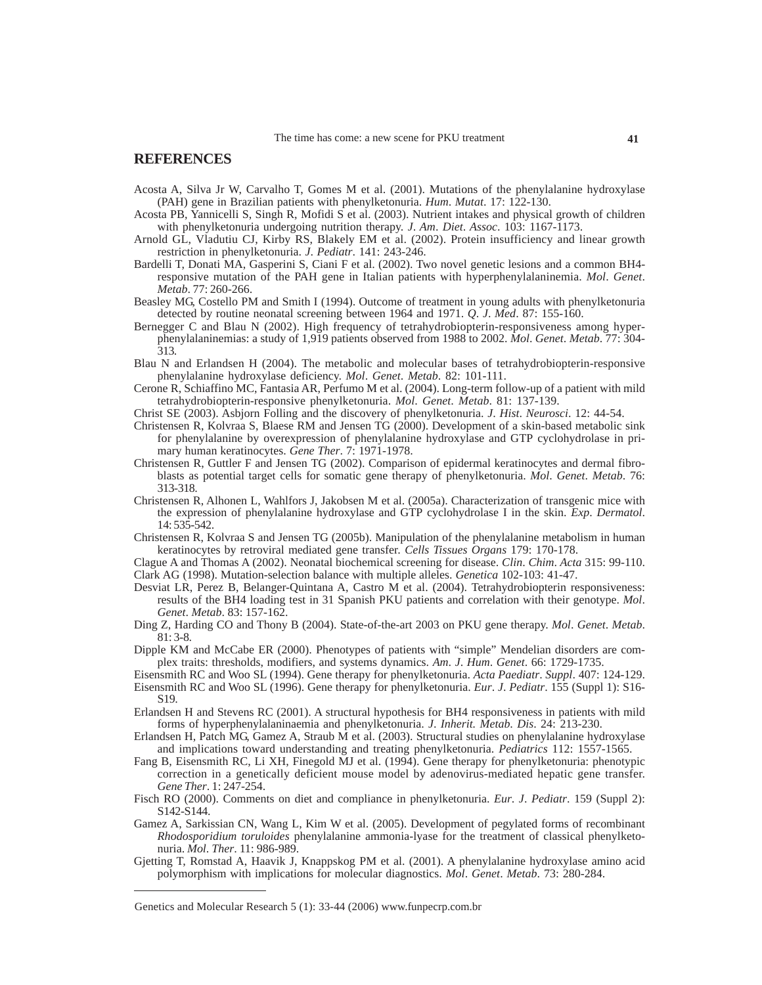### **REFERENCES**

- Acosta A, Silva Jr W, Carvalho T, Gomes M et al. (2001). Mutations of the phenylalanine hydroxylase (PAH) gene in Brazilian patients with phenylketonuria. *Hum*. *Mutat*. 17: 122-130.
- Acosta PB, Yannicelli S, Singh R, Mofidi S et al. (2003). Nutrient intakes and physical growth of children with phenylketonuria undergoing nutrition therapy. *J*. *Am*. *Diet*. *Assoc*. 103: 1167-1173.
- Arnold GL, Vladutiu CJ, Kirby RS, Blakely EM et al. (2002). Protein insufficiency and linear growth restriction in phenylketonuria. *J*. *Pediatr*. 141: 243-246.
- Bardelli T, Donati MA, Gasperini S, Ciani F et al. (2002). Two novel genetic lesions and a common BH4 responsive mutation of the PAH gene in Italian patients with hyperphenylalaninemia. *Mol*. *Genet*. *Metab*. 77: 260-266.
- Beasley MG, Costello PM and Smith I (1994). Outcome of treatment in young adults with phenylketonuria detected by routine neonatal screening between 1964 and 1971. *Q*. *J*. *Med*. 87: 155-160.
- Bernegger C and Blau N (2002). High frequency of tetrahydrobiopterin-responsiveness among hyperphenylalaninemias: a study of 1,919 patients observed from 1988 to 2002. *Mol*. *Genet*. *Metab*. 77: 304- 313.
- Blau N and Erlandsen H (2004). The metabolic and molecular bases of tetrahydrobiopterin-responsive phenylalanine hydroxylase deficiency. *Mol*. *Genet*. *Metab*. 82: 101-111.
- Cerone R, Schiaffino MC, Fantasia AR, Perfumo M et al. (2004). Long-term follow-up of a patient with mild tetrahydrobiopterin-responsive phenylketonuria. *Mol*. *Genet*. *Metab*. 81: 137-139.
- Christ SE (2003). Asbjorn Folling and the discovery of phenylketonuria. *J*. *Hist*. *Neurosci*. 12: 44-54.
- Christensen R, Kolvraa S, Blaese RM and Jensen TG (2000). Development of a skin-based metabolic sink for phenylalanine by overexpression of phenylalanine hydroxylase and GTP cyclohydrolase in primary human keratinocytes. *Gene Ther*. 7: 1971-1978.
- Christensen R, Guttler F and Jensen TG (2002). Comparison of epidermal keratinocytes and dermal fibroblasts as potential target cells for somatic gene therapy of phenylketonuria. *Mol*. *Genet*. *Metab*. 76: 313-318.
- Christensen R, Alhonen L, Wahlfors J, Jakobsen M et al. (2005a). Characterization of transgenic mice with the expression of phenylalanine hydroxylase and GTP cyclohydrolase I in the skin. *Exp*. *Dermatol*. 14: 535-542.
- Christensen R, Kolvraa S and Jensen TG (2005b). Manipulation of the phenylalanine metabolism in human keratinocytes by retroviral mediated gene transfer. *Cells Tissues Organs* 179: 170-178.

Clague A and Thomas A (2002). Neonatal biochemical screening for disease. *Clin*. *Chim*. *Acta* 315: 99-110. Clark AG (1998). Mutation-selection balance with multiple alleles. *Genetica* 102-103: 41-47.

- Desviat LR, Perez B, Belanger-Quintana A, Castro M et al. (2004). Tetrahydrobiopterin responsiveness: results of the BH4 loading test in 31 Spanish PKU patients and correlation with their genotype. *Mol*. *Genet*. *Metab*. 83: 157-162.
- Ding Z, Harding CO and Thony B (2004). State-of-the-art 2003 on PKU gene therapy. *Mol*. *Genet*. *Metab*. 81: 3-8.
- Dipple KM and McCabe ER (2000). Phenotypes of patients with "simple" Mendelian disorders are complex traits: thresholds, modifiers, and systems dynamics. *Am*. *J*. *Hum*. *Genet*. 66: 1729-1735.
- Eisensmith RC and Woo SL (1994). Gene therapy for phenylketonuria. *Acta Paediatr*. *Suppl*. 407: 124-129.
- Eisensmith RC and Woo SL (1996). Gene therapy for phenylketonuria. *Eur*. *J*. *Pediatr*. 155 (Suppl 1): S16- S19.
- Erlandsen H and Stevens RC (2001). A structural hypothesis for BH4 responsiveness in patients with mild forms of hyperphenylalaninaemia and phenylketonuria. *J*. *Inherit. Metab*. *Dis*. 24: 213-230.
- Erlandsen H, Patch MG, Gamez A, Straub M et al. (2003). Structural studies on phenylalanine hydroxylase and implications toward understanding and treating phenylketonuria. *Pediatrics* 112: 1557-1565.
- Fang B, Eisensmith RC, Li XH, Finegold MJ et al. (1994). Gene therapy for phenylketonuria: phenotypic correction in a genetically deficient mouse model by adenovirus-mediated hepatic gene transfer. *Gene Ther*. 1: 247-254.
- Fisch RO (2000). Comments on diet and compliance in phenylketonuria. *Eur*. *J*. *Pediatr*. 159 (Suppl 2): S142-S144.
- Gamez A, Sarkissian CN, Wang L, Kim W et al. (2005). Development of pegylated forms of recombinant *Rhodosporidium toruloides* phenylalanine ammonia-lyase for the treatment of classical phenylketonuria. *Mol*. *Ther*. 11: 986-989.
- Gjetting T, Romstad A, Haavik J, Knappskog PM et al. (2001). A phenylalanine hydroxylase amino acid polymorphism with implications for molecular diagnostics. *Mol*. *Genet*. *Metab*. 73: 280-284.

#### Genetics and Molecular Research 5 (1): 33-44 (2006) www.funpecrp.com.br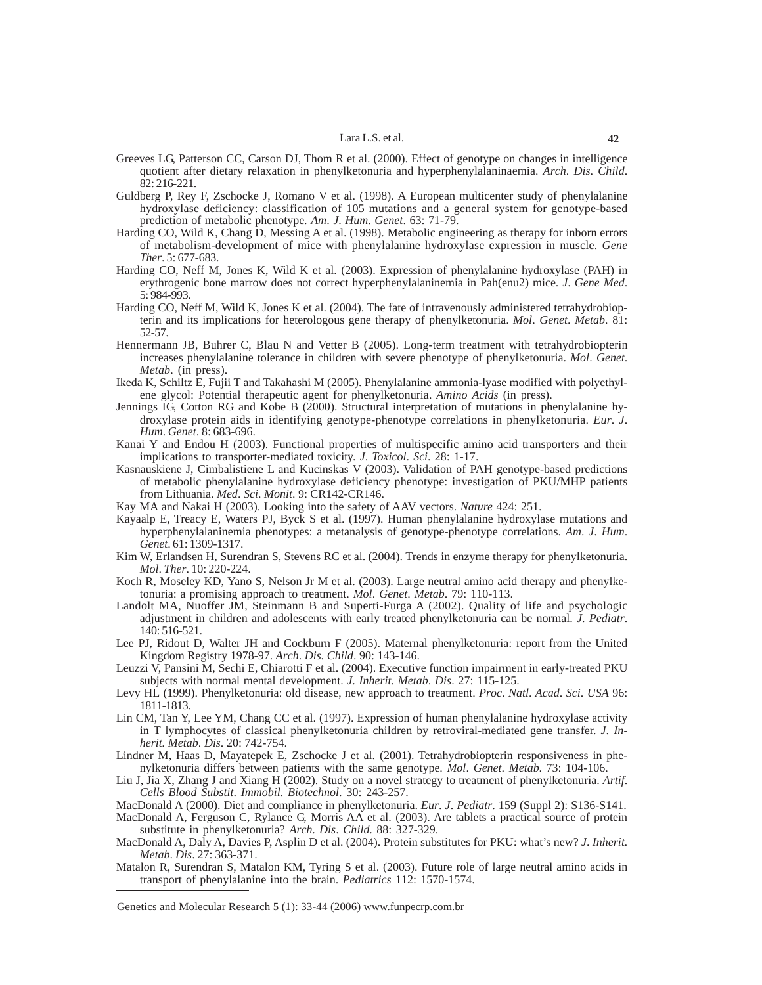- Greeves LG, Patterson CC, Carson DJ, Thom R et al. (2000). Effect of genotype on changes in intelligence quotient after dietary relaxation in phenylketonuria and hyperphenylalaninaemia. *Arch*. *Dis*. *Child*. 82: 216-221.
- Guldberg P, Rey F, Zschocke J, Romano V et al. (1998). A European multicenter study of phenylalanine hydroxylase deficiency: classification of 105 mutations and a general system for genotype-based prediction of metabolic phenotype. *Am*. *J*. *Hum*. *Genet*. 63: 71-79.
- Harding CO, Wild K, Chang D, Messing A et al. (1998). Metabolic engineering as therapy for inborn errors of metabolism-development of mice with phenylalanine hydroxylase expression in muscle. *Gene Ther*. 5: 677-683.
- Harding CO, Neff M, Jones K, Wild K et al. (2003). Expression of phenylalanine hydroxylase (PAH) in erythrogenic bone marrow does not correct hyperphenylalaninemia in Pah(enu2) mice. *J*. *Gene Med*. 5: 984-993.
- Harding CO, Neff M, Wild K, Jones K et al. (2004). The fate of intravenously administered tetrahydrobiopterin and its implications for heterologous gene therapy of phenylketonuria. *Mol*. *Genet*. *Metab*. 81: 52-57.
- Hennermann JB, Buhrer C, Blau N and Vetter B (2005). Long-term treatment with tetrahydrobiopterin increases phenylalanine tolerance in children with severe phenotype of phenylketonuria. *Mol*. *Genet*. *Metab*. (in press).
- Ikeda K, Schiltz E, Fujii T and Takahashi M (2005). Phenylalanine ammonia-lyase modified with polyethylene glycol: Potential therapeutic agent for phenylketonuria. *Amino Acids* (in press).
- Jennings IG, Cotton RG and Kobe B (2000). Structural interpretation of mutations in phenylalanine hydroxylase protein aids in identifying genotype-phenotype correlations in phenylketonuria. *Eur*. *J*. *Hum*. *Genet*. 8: 683-696.
- Kanai Y and Endou H (2003). Functional properties of multispecific amino acid transporters and their implications to transporter-mediated toxicity. *J*. *Toxicol*. *Sci*. 28: 1-17.
- Kasnauskiene J, Cimbalistiene L and Kucinskas V (2003). Validation of PAH genotype-based predictions of metabolic phenylalanine hydroxylase deficiency phenotype: investigation of PKU/MHP patients from Lithuania. *Med*. *Sci*. *Monit*. 9: CR142-CR146.
- Kay MA and Nakai H (2003). Looking into the safety of AAV vectors. *Nature* 424: 251.
- Kayaalp E, Treacy E, Waters PJ, Byck S et al. (1997). Human phenylalanine hydroxylase mutations and hyperphenylalaninemia phenotypes: a metanalysis of genotype-phenotype correlations. *Am*. *J*. *Hum*. *Genet*. 61: 1309-1317.
- Kim W, Erlandsen H, Surendran S, Stevens RC et al. (2004). Trends in enzyme therapy for phenylketonuria. *Mol*. *Ther*. 10: 220-224.
- Koch R, Moseley KD, Yano S, Nelson Jr M et al. (2003). Large neutral amino acid therapy and phenylketonuria: a promising approach to treatment. *Mol*. *Genet*. *Metab*. 79: 110-113.
- Landolt MA, Nuoffer JM, Steinmann B and Superti-Furga A (2002). Quality of life and psychologic adjustment in children and adolescents with early treated phenylketonuria can be normal. *J*. *Pediatr*. 140: 516-521.
- Lee PJ, Ridout D, Walter JH and Cockburn F (2005). Maternal phenylketonuria: report from the United Kingdom Registry 1978-97. *Arch*. *Dis*. *Child*. 90: 143-146.
- Leuzzi V, Pansini M, Sechi E, Chiarotti F et al. (2004). Executive function impairment in early-treated PKU subjects with normal mental development. *J*. *Inherit. Metab*. *Dis*. 27: 115-125.
- Levy HL (1999). Phenylketonuria: old disease, new approach to treatment. *Proc*. *Natl*. *Acad*. *Sci*. *USA* 96: 1811-1813.
- Lin CM, Tan Y, Lee YM, Chang CC et al. (1997). Expression of human phenylalanine hydroxylase activity in T lymphocytes of classical phenylketonuria children by retroviral-mediated gene transfer. *J*. *Inherit. Metab*. *Dis*. 20: 742-754.
- Lindner M, Haas D, Mayatepek E, Zschocke J et al. (2001). Tetrahydrobiopterin responsiveness in phenylketonuria differs between patients with the same genotype. *Mol*. *Genet*. *Metab*. 73: 104-106.
- Liu J, Jia X, Zhang J and Xiang H (2002). Study on a novel strategy to treatment of phenylketonuria. *Artif*. *Cells Blood Substit*. *Immobil*. *Biotechnol*. 30: 243-257.
- MacDonald A (2000). Diet and compliance in phenylketonuria. *Eur*. *J*. *Pediatr*. 159 (Suppl 2): S136-S141.
- MacDonald A, Ferguson C, Rylance G, Morris AA et al. (2003). Are tablets a practical source of protein substitute in phenylketonuria? *Arch*. *Dis*. *Child*. 88: 327-329.
- MacDonald A, Daly A, Davies P, Asplin D et al. (2004). Protein substitutes for PKU: what's new? *J*. *Inherit. Metab*. *Dis*. 27: 363-371.
- Matalon R, Surendran S, Matalon KM, Tyring S et al. (2003). Future role of large neutral amino acids in transport of phenylalanine into the brain. *Pediatrics* 112: 1570-1574.

Genetics and Molecular Research 5 (1): 33-44 (2006) www.funpecrp.com.br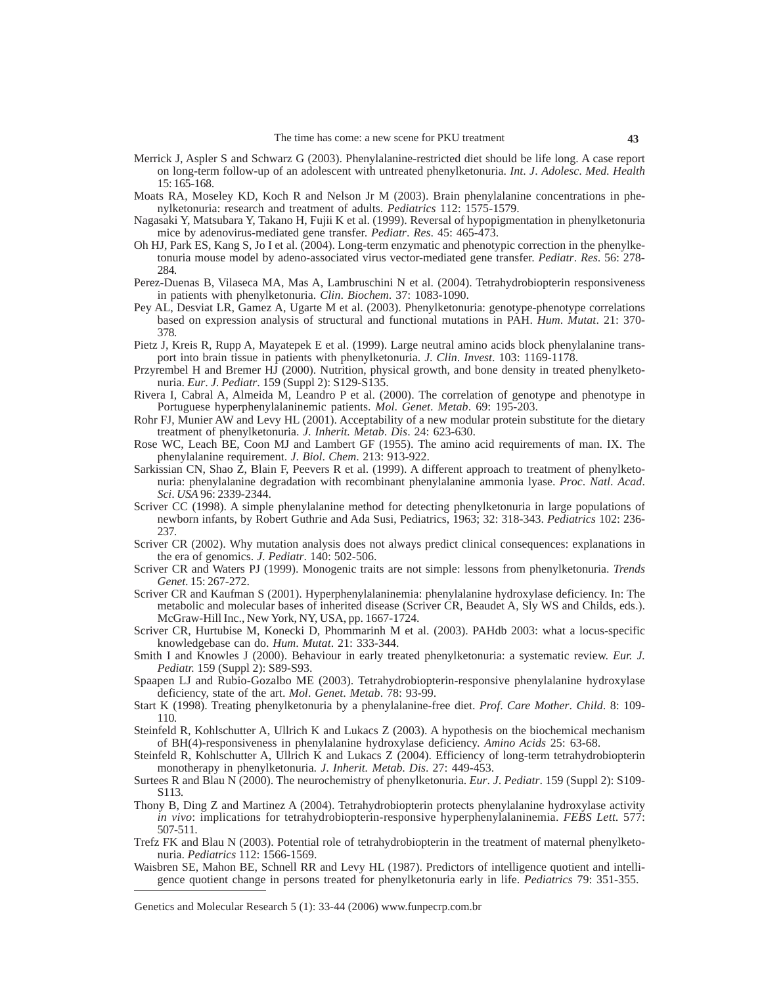- Merrick J, Aspler S and Schwarz G (2003). Phenylalanine-restricted diet should be life long. A case report on long-term follow-up of an adolescent with untreated phenylketonuria. *Int*. *J*. *Adolesc*. *Med*. *Health* 15: 165-168.
- Moats RA, Moseley KD, Koch R and Nelson Jr M (2003). Brain phenylalanine concentrations in phenylketonuria: research and treatment of adults. *Pediatrics* 112: 1575-1579.
- Nagasaki Y, Matsubara Y, Takano H, Fujii K et al. (1999). Reversal of hypopigmentation in phenylketonuria mice by adenovirus-mediated gene transfer. *Pediatr*. *Res*. 45: 465-473.
- Oh HJ, Park ES, Kang S, Jo I et al. (2004). Long-term enzymatic and phenotypic correction in the phenylketonuria mouse model by adeno-associated virus vector-mediated gene transfer. *Pediatr*. *Res*. 56: 278- 284.
- Perez-Duenas B, Vilaseca MA, Mas A, Lambruschini N et al. (2004). Tetrahydrobiopterin responsiveness in patients with phenylketonuria. *Clin*. *Biochem*. 37: 1083-1090.
- Pey AL, Desviat LR, Gamez A, Ugarte M et al. (2003). Phenylketonuria: genotype-phenotype correlations based on expression analysis of structural and functional mutations in PAH. *Hum*. *Mutat*. 21: 370- 378.
- Pietz J, Kreis R, Rupp A, Mayatepek E et al. (1999). Large neutral amino acids block phenylalanine transport into brain tissue in patients with phenylketonuria. *J*. *Clin*. *Invest*. 103: 1169-1178.
- Przyrembel H and Bremer HJ (2000). Nutrition, physical growth, and bone density in treated phenylketonuria. *Eur*. *J*. *Pediatr*. 159 (Suppl 2): S129-S135.
- Rivera I, Cabral A, Almeida M, Leandro P et al. (2000). The correlation of genotype and phenotype in Portuguese hyperphenylalaninemic patients. *Mol*. *Genet*. *Metab*. 69: 195-203.
- Rohr FJ, Munier AW and Levy HL (2001). Acceptability of a new modular protein substitute for the dietary treatment of phenylketonuria. *J*. *Inherit. Metab*. *Dis*. 24: 623-630.
- Rose WC, Leach BE, Coon MJ and Lambert GF (1955). The amino acid requirements of man. IX. The phenylalanine requirement. *J*. *Biol*. *Chem*. 213: 913-922.
- Sarkissian CN, Shao Z, Blain F, Peevers R et al. (1999). A different approach to treatment of phenylketonuria: phenylalanine degradation with recombinant phenylalanine ammonia lyase. *Proc*. *Natl*. *Acad*. *Sci*. *USA* 96: 2339-2344.
- Scriver CC (1998). A simple phenylalanine method for detecting phenylketonuria in large populations of newborn infants, by Robert Guthrie and Ada Susi, Pediatrics, 1963; 32: 318-343. *Pediatrics* 102: 236- 237.
- Scriver CR (2002). Why mutation analysis does not always predict clinical consequences: explanations in the era of genomics. *J*. *Pediatr*. 140: 502-506.
- Scriver CR and Waters PJ (1999). Monogenic traits are not simple: lessons from phenylketonuria. *Trends Genet*. 15: 267-272.
- Scriver CR and Kaufman S (2001). Hyperphenylalaninemia: phenylalanine hydroxylase deficiency. In: The metabolic and molecular bases of inherited disease (Scriver CR, Beaudet A, Sly WS and Childs, eds.). McGraw-Hill Inc., New York, NY, USA, pp. 1667-1724.
- Scriver CR, Hurtubise M, Konecki D, Phommarinh M et al. (2003). PAHdb 2003: what a locus-specific knowledgebase can do. *Hum*. *Mutat*. 21: 333-344.
- Smith I and Knowles J (2000). Behaviour in early treated phenylketonuria: a systematic review. *Eur. J. Pediatr.* 159 (Suppl 2): S89-S93.
- Spaapen LJ and Rubio-Gozalbo ME (2003). Tetrahydrobiopterin-responsive phenylalanine hydroxylase deficiency, state of the art. *Mol*. *Genet*. *Metab*. 78: 93-99.
- Start K (1998). Treating phenylketonuria by a phenylalanine-free diet. *Prof*. *Care Mother*. *Child*. 8: 109- 110.
- Steinfeld R, Kohlschutter A, Ullrich K and Lukacs Z (2003). A hypothesis on the biochemical mechanism of BH(4)-responsiveness in phenylalanine hydroxylase deficiency. *Amino Acids* 25: 63-68.
- Steinfeld R, Kohlschutter A, Ullrich K and Lukacs Z (2004). Efficiency of long-term tetrahydrobiopterin monotherapy in phenylketonuria. *J*. *Inherit. Metab*. *Dis*. 27: 449-453.
- Surtees R and Blau N (2000). The neurochemistry of phenylketonuria. *Eur*. *J*. *Pediatr*. 159 (Suppl 2): S109- S113.
- Thony B, Ding Z and Martinez A (2004). Tetrahydrobiopterin protects phenylalanine hydroxylase activity *in vivo*: implications for tetrahydrobiopterin-responsive hyperphenylalaninemia. *FEBS Lett.* 577: 507-511.
- Trefz FK and Blau N (2003). Potential role of tetrahydrobiopterin in the treatment of maternal phenylketonuria. *Pediatrics* 112: 1566-1569.
- Waisbren SE, Mahon BE, Schnell RR and Levy HL (1987). Predictors of intelligence quotient and intelligence quotient change in persons treated for phenylketonuria early in life. *Pediatrics* 79: 351-355.

Genetics and Molecular Research 5 (1): 33-44 (2006) www.funpecrp.com.br